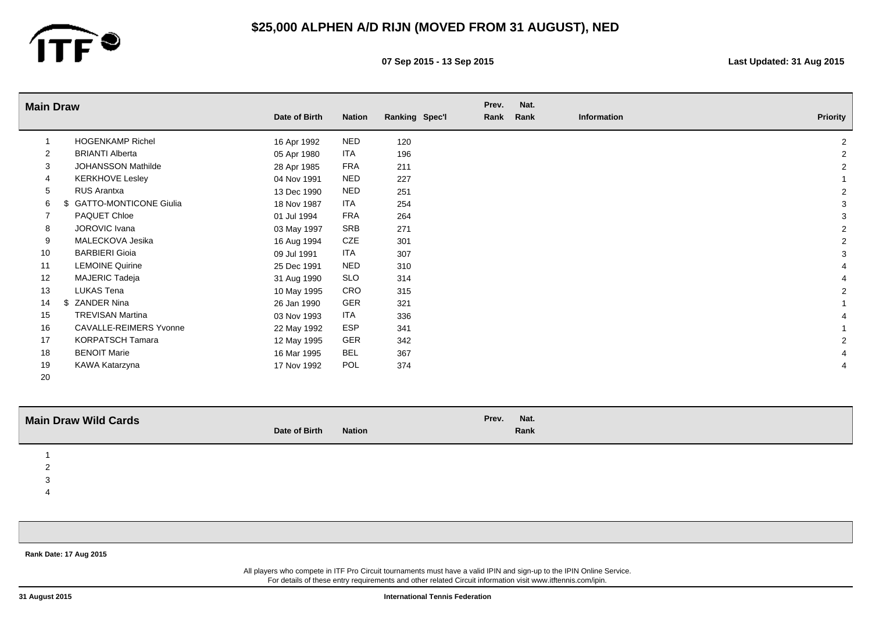

**07 Sep 2015 - 13 Sep 2015 Last Updated: 31 Aug 2015**

| <b>Main Draw</b> |                               |               |               |                | Prev. | Nat. |             |                 |
|------------------|-------------------------------|---------------|---------------|----------------|-------|------|-------------|-----------------|
|                  |                               | Date of Birth | <b>Nation</b> | Ranking Spec'l | Rank  | Rank | Information | <b>Priority</b> |
|                  | <b>HOGENKAMP Richel</b>       | 16 Apr 1992   | <b>NED</b>    | 120            |       |      |             | 2               |
| $\overline{2}$   | <b>BRIANTI Alberta</b>        | 05 Apr 1980   | ITA           | 196            |       |      |             | $\overline{2}$  |
| 3                | <b>JOHANSSON Mathilde</b>     | 28 Apr 1985   | FRA           | 211            |       |      |             | $\overline{2}$  |
| 4                | <b>KERKHOVE Lesley</b>        | 04 Nov 1991   | <b>NED</b>    | 227            |       |      |             |                 |
| 5                | RUS Arantxa                   | 13 Dec 1990   | <b>NED</b>    | 251            |       |      |             | $\overline{2}$  |
| 6                | <b>GATTO-MONTICONE Giulia</b> | 18 Nov 1987   | ITA           | 254            |       |      |             | 3               |
| 7                | PAQUET Chloe                  | 01 Jul 1994   | FRA           | 264            |       |      |             | 3               |
| 8                | <b>JOROVIC Ivana</b>          | 03 May 1997   | SRB           | 271            |       |      |             | $\overline{2}$  |
| 9                | MALECKOVA Jesika              | 16 Aug 1994   | CZE           | 301            |       |      |             | $\overline{2}$  |
| 10               | <b>BARBIERI Gioia</b>         | 09 Jul 1991   | <b>ITA</b>    | 307            |       |      |             | 3               |
| 11               | <b>LEMOINE Quirine</b>        | 25 Dec 1991   | <b>NED</b>    | 310            |       |      |             |                 |
| 12               | MAJERIC Tadeja                | 31 Aug 1990   | SLO           | 314            |       |      |             |                 |
| 13               | LUKAS Tena                    | 10 May 1995   | CRO           | 315            |       |      |             | $\overline{2}$  |
| 14               | ZANDER Nina<br>.S             | 26 Jan 1990   | <b>GER</b>    | 321            |       |      |             |                 |
| 15               | <b>TREVISAN Martina</b>       | 03 Nov 1993   | ITA           | 336            |       |      |             |                 |
| 16               | <b>CAVALLE-REIMERS Yvonne</b> | 22 May 1992   | <b>ESP</b>    | 341            |       |      |             |                 |
| 17               | <b>KORPATSCH Tamara</b>       | 12 May 1995   | <b>GER</b>    | 342            |       |      |             | $\overline{2}$  |
| 18               | <b>BENOIT Marie</b>           | 16 Mar 1995   | BEL           | 367            |       |      |             |                 |
| 19               | KAWA Katarzyna                | 17 Nov 1992   | <b>POL</b>    | 374            |       |      |             |                 |
| 20               |                               |               |               |                |       |      |             |                 |

| <b>Main Draw Wild Cards</b> |                                | Nat.<br>Prev. |
|-----------------------------|--------------------------------|---------------|
|                             | Date of Birth<br><b>Nation</b> | Rank          |
|                             |                                |               |
|                             |                                |               |

3

4

**Rank Date: 17 Aug 2015**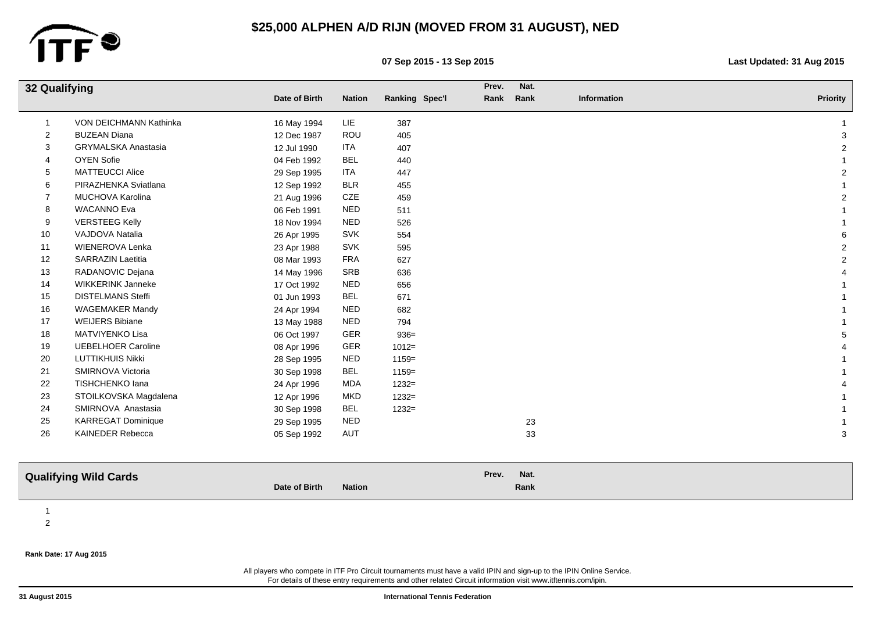

**07 Sep 2015 - 13 Sep 2015 Last Updated: 31 Aug 2015**

| 32 Qualifying            |                               |               | Prev.         | Nat.           |       |      |             |                 |
|--------------------------|-------------------------------|---------------|---------------|----------------|-------|------|-------------|-----------------|
|                          |                               | Date of Birth | <b>Nation</b> | Ranking Spec'l | Rank  | Rank | Information | <b>Priority</b> |
| -1                       | <b>VON DEICHMANN Kathinka</b> | 16 May 1994   | LIE           | 387            |       |      |             |                 |
| $\overline{2}$           | <b>BUZEAN Diana</b>           | 12 Dec 1987   | ROU           | 405            |       |      |             | 3               |
| 3                        | GRYMALSKA Anastasia           | 12 Jul 1990   | ITA           | 407            |       |      |             | $\overline{a}$  |
| $\overline{\mathcal{A}}$ | <b>OYEN Sofie</b>             | 04 Feb 1992   | <b>BEL</b>    | 440            |       |      |             |                 |
| 5                        | <b>MATTEUCCI Alice</b>        | 29 Sep 1995   | ITA           | 447            |       |      |             | $\overline{c}$  |
| 6                        | PIRAZHENKA Sviatlana          | 12 Sep 1992   | <b>BLR</b>    | 455            |       |      |             |                 |
| 7                        | MUCHOVA Karolina              | 21 Aug 1996   | CZE           | 459            |       |      |             | $\overline{2}$  |
| 8                        | <b>WACANNO Eva</b>            | 06 Feb 1991   | <b>NED</b>    | 511            |       |      |             |                 |
| 9                        | <b>VERSTEEG Kelly</b>         | 18 Nov 1994   | <b>NED</b>    | 526            |       |      |             |                 |
| 10                       | VAJDOVA Natalia               | 26 Apr 1995   | <b>SVK</b>    | 554            |       |      |             | 6               |
| 11                       | WIENEROVA Lenka               | 23 Apr 1988   | <b>SVK</b>    | 595            |       |      |             | $\overline{2}$  |
| 12                       | <b>SARRAZIN Laetitia</b>      | 08 Mar 1993   | <b>FRA</b>    | 627            |       |      |             | $\overline{2}$  |
| 13                       | RADANOVIC Dejana              | 14 May 1996   | SRB           | 636            |       |      |             |                 |
| 14                       | <b>WIKKERINK Janneke</b>      | 17 Oct 1992   | <b>NED</b>    | 656            |       |      |             |                 |
| 15                       | <b>DISTELMANS Steffi</b>      | 01 Jun 1993   | <b>BEL</b>    | 671            |       |      |             |                 |
| 16                       | <b>WAGEMAKER Mandy</b>        | 24 Apr 1994   | <b>NED</b>    | 682            |       |      |             |                 |
| 17                       | <b>WEIJERS Bibiane</b>        | 13 May 1988   | <b>NED</b>    | 794            |       |      |             |                 |
| 18                       | MATVIYENKO Lisa               | 06 Oct 1997   | GER           | $936 =$        |       |      |             | 5               |
| 19                       | <b>UEBELHOER Caroline</b>     | 08 Apr 1996   | GER           | $1012 =$       |       |      |             |                 |
| 20                       | <b>LUTTIKHUIS Nikki</b>       | 28 Sep 1995   | <b>NED</b>    | $1159=$        |       |      |             |                 |
| 21                       | SMIRNOVA Victoria             | 30 Sep 1998   | <b>BEL</b>    | $1159=$        |       |      |             |                 |
| 22                       | TISHCHENKO lana               | 24 Apr 1996   | MDA           | $1232=$        |       |      |             |                 |
| 23                       | STOILKOVSKA Magdalena         | 12 Apr 1996   | <b>MKD</b>    | $1232=$        |       |      |             |                 |
| 24                       | SMIRNOVA Anastasia            | 30 Sep 1998   | <b>BEL</b>    | $1232=$        |       |      |             |                 |
| 25                       | <b>KARREGAT Dominique</b>     | 29 Sep 1995   | <b>NED</b>    |                |       | 23   |             |                 |
| 26                       | KAINEDER Rebecca              | 05 Sep 1992   | AUT           |                |       | 33   |             | 3               |
|                          |                               |               |               |                |       |      |             |                 |
|                          | <b>Qualifying Wild Cards</b>  |               |               |                | Prev. | Nat. |             |                 |
|                          |                               | Date of Birth | <b>Nation</b> |                |       | Rank |             |                 |
| $\overline{1}$           |                               |               |               |                |       |      |             |                 |

### **Rank Date: 17 Aug 2015**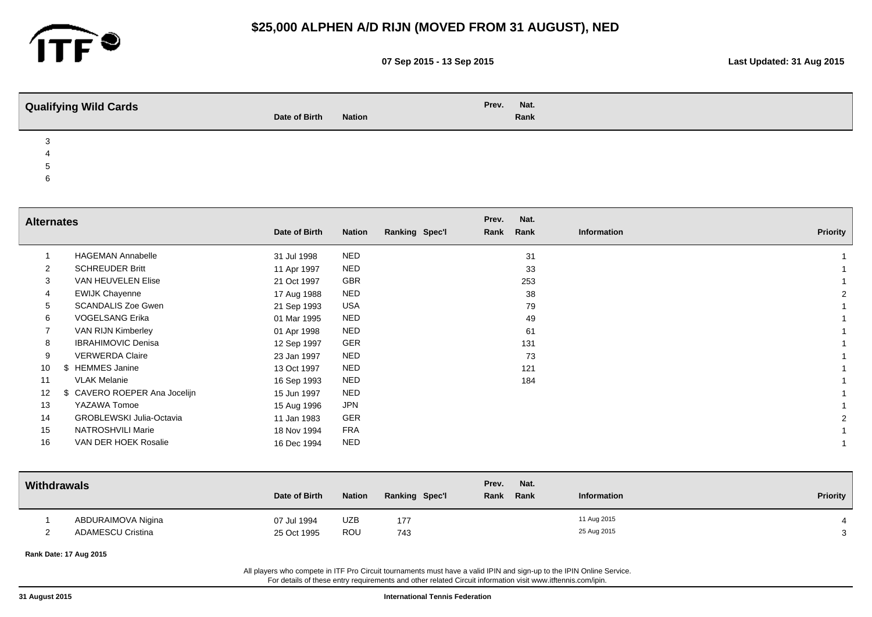

4

# **\$25,000 ALPHEN A/D RIJN (MOVED FROM 31 AUGUST), NED**

**07 Sep 2015 - 13 Sep 2015 Last Updated: 31 Aug 2015**

| <b>Qualifying Wild Cards</b> | Date of Birth | <b>Nation</b> | Prev. | Nat.<br>Rank |  |
|------------------------------|---------------|---------------|-------|--------------|--|
|                              |               |               |       |              |  |

5

6

| <b>Alternates</b> |                                 |               |               |                | Prev. | Nat. |             |          |
|-------------------|---------------------------------|---------------|---------------|----------------|-------|------|-------------|----------|
|                   |                                 | Date of Birth | <b>Nation</b> | Ranking Spec'l | Rank  | Rank | Information | Priority |
|                   | <b>HAGEMAN Annabelle</b>        | 31 Jul 1998   | <b>NED</b>    |                |       | 31   |             |          |
| $\overline{2}$    | <b>SCHREUDER Britt</b>          | 11 Apr 1997   | <b>NED</b>    |                |       | 33   |             |          |
| 3                 | VAN HEUVELEN Elise              | 21 Oct 1997   | GBR           |                |       | 253  |             |          |
| 4                 | <b>EWIJK Chayenne</b>           | 17 Aug 1988   | <b>NED</b>    |                |       | 38   |             |          |
| 5                 | <b>SCANDALIS Zoe Gwen</b>       | 21 Sep 1993   | USA           |                |       | 79   |             |          |
| 6                 | <b>VOGELSANG Erika</b>          | 01 Mar 1995   | <b>NED</b>    |                |       | 49   |             |          |
|                   | VAN RIJN Kimberley              | 01 Apr 1998   | <b>NED</b>    |                |       | 61   |             |          |
| 8                 | <b>IBRAHIMOVIC Denisa</b>       | 12 Sep 1997   | GER           |                |       | 131  |             |          |
| 9                 | <b>VERWERDA Claire</b>          | 23 Jan 1997   | <b>NED</b>    |                |       | 73   |             |          |
| 10                | <b>HEMMES Janine</b>            | 13 Oct 1997   | <b>NED</b>    |                |       | 121  |             |          |
| 11                | <b>VLAK Melanie</b>             | 16 Sep 1993   | <b>NED</b>    |                |       | 184  |             |          |
| 12                | \$ CAVERO ROEPER Ana Jocelijn   | 15 Jun 1997   | <b>NED</b>    |                |       |      |             |          |
| 13                | YAZAWA Tomoe                    | 15 Aug 1996   | <b>JPN</b>    |                |       |      |             |          |
| 14                | <b>GROBLEWSKI Julia-Octavia</b> | 11 Jan 1983   | GER           |                |       |      |             |          |
| 15                | NATROSHVILI Marie               | 18 Nov 1994   | <b>FRA</b>    |                |       |      |             |          |
| 16                | VAN DER HOEK Rosalie            | 16 Dec 1994   | <b>NED</b>    |                |       |      |             |          |
|                   |                                 |               |               |                |       |      |             |          |

| Withdrawals |                          | Date of Birth | <b>Nation</b> | <b>Ranking Spec'l</b> | Prev.<br>Nat.<br>Rank Rank | <b>Information</b> | Priority |
|-------------|--------------------------|---------------|---------------|-----------------------|----------------------------|--------------------|----------|
|             | ABDURAIMOVA Nigina       | 07 Jul 1994   | <b>UZB</b>    | 177                   |                            | 11 Aug 2015        |          |
|             | <b>ADAMESCU Cristina</b> | 25 Oct 1995   | ROU           | 743                   |                            | 25 Aug 2015        |          |

**Rank Date: 17 Aug 2015**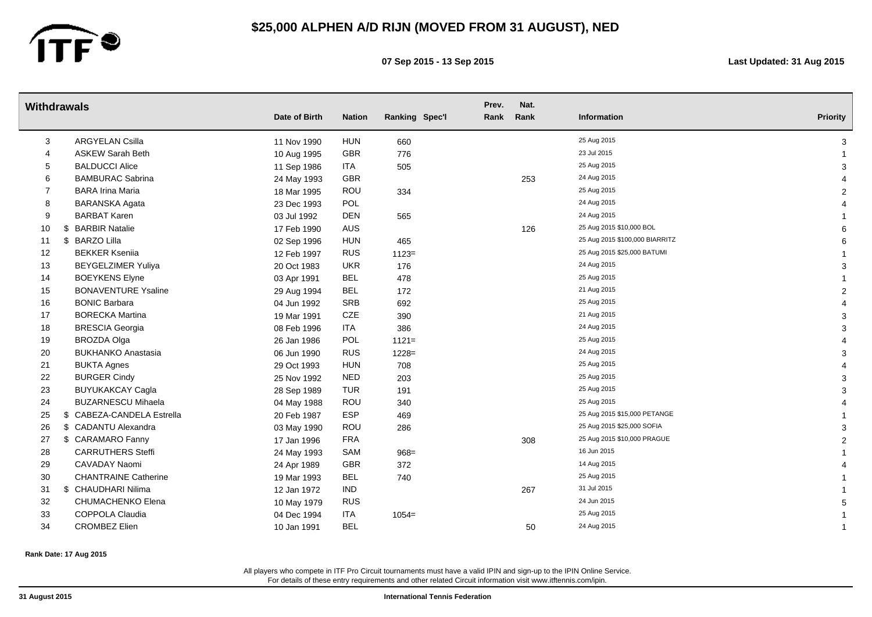

**07 Sep 2015 - 13 Sep 2015 Last Updated: 31 Aug 2015**

|    | Withdrawals                 | Date of Birth | <b>Nation</b> | Ranking Spec'l | Prev.<br>Rank | Nat.<br>Rank | Information                                                | <b>Priority</b> |
|----|-----------------------------|---------------|---------------|----------------|---------------|--------------|------------------------------------------------------------|-----------------|
|    | <b>ARGYELAN Csilla</b>      |               |               |                |               |              | 25 Aug 2015                                                |                 |
| 3  |                             | 11 Nov 1990   | <b>HUN</b>    | 660            |               |              | 23 Jul 2015                                                | 3               |
| 4  | <b>ASKEW Sarah Beth</b>     | 10 Aug 1995   | GBR           | 776            |               |              | 25 Aug 2015                                                |                 |
| 5  | <b>BALDUCCI Alice</b>       | 11 Sep 1986   | ITA           | 505            |               |              | 24 Aug 2015                                                | 3               |
| 6  | <b>BAMBURAC Sabrina</b>     | 24 May 1993   | <b>GBR</b>    |                |               | 253          | 25 Aug 2015                                                |                 |
| 7  | <b>BARA Irina Maria</b>     | 18 Mar 1995   | ROU           | 334            |               |              | 24 Aug 2015                                                | 2               |
| 8  | <b>BARANSKA Agata</b>       | 23 Dec 1993   | POL           |                |               |              | 24 Aug 2015                                                |                 |
| 9  | <b>BARBAT Karen</b>         | 03 Jul 1992   | <b>DEN</b>    | 565            |               |              |                                                            |                 |
| 10 | <b>BARBIR Natalie</b><br>\$ | 17 Feb 1990   | AUS           |                |               | 126          | 25 Aug 2015 \$10,000 BOL<br>25 Aug 2015 \$100,000 BIARRITZ | 6               |
| 11 | <b>BARZO Lilla</b><br>\$    | 02 Sep 1996   | <b>HUN</b>    | 465            |               |              | 25 Aug 2015 \$25,000 BATUMI                                | 6               |
| 12 | <b>BEKKER Ksenija</b>       | 12 Feb 1997   | <b>RUS</b>    | $1123=$        |               |              |                                                            |                 |
| 13 | <b>BEYGELZIMER Yuliya</b>   | 20 Oct 1983   | <b>UKR</b>    | 176            |               |              | 24 Aug 2015<br>25 Aug 2015                                 | 3               |
| 14 | <b>BOEYKENS Elyne</b>       | 03 Apr 1991   | <b>BEL</b>    | 478            |               |              |                                                            |                 |
| 15 | <b>BONAVENTURE Ysaline</b>  | 29 Aug 1994   | <b>BEL</b>    | 172            |               |              | 21 Aug 2015                                                | $\overline{2}$  |
| 16 | <b>BONIC Barbara</b>        | 04 Jun 1992   | SRB           | 692            |               |              | 25 Aug 2015                                                |                 |
| 17 | <b>BORECKA Martina</b>      | 19 Mar 1991   | CZE           | 390            |               |              | 21 Aug 2015                                                | 3               |
| 18 | <b>BRESCIA Georgia</b>      | 08 Feb 1996   | ITA           | 386            |               |              | 24 Aug 2015                                                | 3               |
| 19 | <b>BROZDA Olga</b>          | 26 Jan 1986   | POL           | $1121 =$       |               |              | 25 Aug 2015                                                |                 |
| 20 | <b>BUKHANKO Anastasia</b>   | 06 Jun 1990   | <b>RUS</b>    | $1228 =$       |               |              | 24 Aug 2015                                                | 3               |
| 21 | <b>BUKTA Agnes</b>          | 29 Oct 1993   | <b>HUN</b>    | 708            |               |              | 25 Aug 2015                                                |                 |
| 22 | <b>BURGER Cindy</b>         | 25 Nov 1992   | <b>NED</b>    | 203            |               |              | 25 Aug 2015                                                | 3               |
| 23 | <b>BUYUKAKCAY Cagla</b>     | 28 Sep 1989   | <b>TUR</b>    | 191            |               |              | 25 Aug 2015                                                | 3               |
| 24 | <b>BUZARNESCU Mihaela</b>   | 04 May 1988   | ROU           | 340            |               |              | 25 Aug 2015                                                |                 |
| 25 | \$ CABEZA-CANDELA Estrella  | 20 Feb 1987   | <b>ESP</b>    | 469            |               |              | 25 Aug 2015 \$15,000 PETANGE                               |                 |
| 26 | \$ CADANTU Alexandra        | 03 May 1990   | ROU           | 286            |               |              | 25 Aug 2015 \$25,000 SOFIA                                 | 3               |
| 27 | \$ CARAMARO Fanny           | 17 Jan 1996   | <b>FRA</b>    |                |               | 308          | 25 Aug 2015 \$10,000 PRAGUE                                | $\overline{2}$  |
| 28 | <b>CARRUTHERS Steffi</b>    | 24 May 1993   | SAM           | $968 =$        |               |              | 16 Jun 2015                                                |                 |
| 29 | CAVADAY Naomi               | 24 Apr 1989   | GBR           | 372            |               |              | 14 Aug 2015                                                |                 |
| 30 | <b>CHANTRAINE Catherine</b> | 19 Mar 1993   | BEL           | 740            |               |              | 25 Aug 2015                                                |                 |
| 31 | \$ CHAUDHARI Nilima         | 12 Jan 1972   | <b>IND</b>    |                |               | 267          | 31 Jul 2015                                                |                 |
| 32 | CHUMACHENKO Elena           | 10 May 1979   | <b>RUS</b>    |                |               |              | 24 Jun 2015                                                | 5               |
| 33 | COPPOLA Claudia             | 04 Dec 1994   | ITA           | $1054 =$       |               |              | 25 Aug 2015                                                |                 |
| 34 | <b>CROMBEZ Elien</b>        | 10 Jan 1991   | <b>BEL</b>    |                |               | 50           | 24 Aug 2015                                                |                 |

**Rank Date: 17 Aug 2015**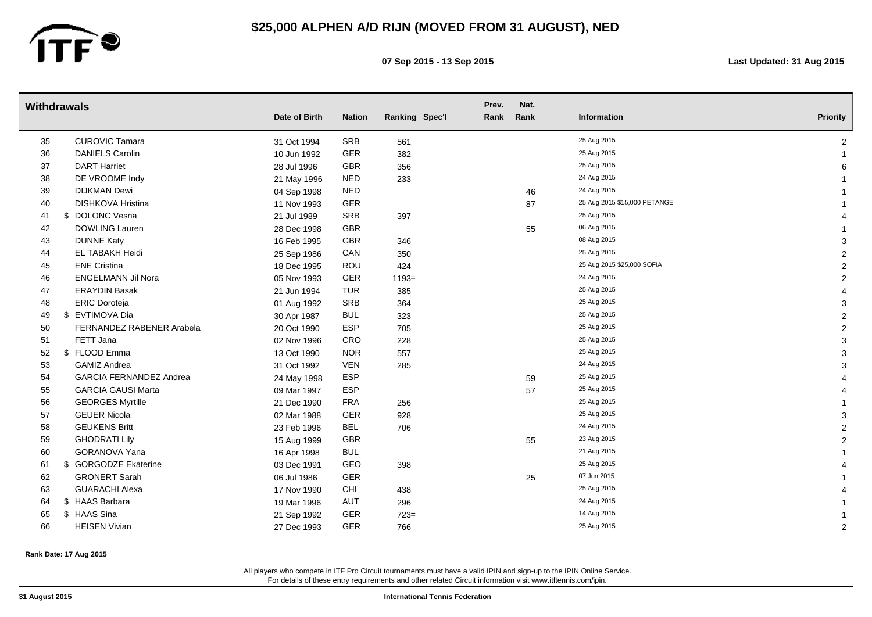

**07 Sep 2015 - 13 Sep 2015 Last Updated: 31 Aug 2015**

|    | <b>Withdrawals</b>             | Date of Birth | <b>Nation</b> | Ranking Spec'l | Prev.<br>Rank | Nat.<br>Rank | Information                  | <b>Priority</b> |
|----|--------------------------------|---------------|---------------|----------------|---------------|--------------|------------------------------|-----------------|
|    |                                |               |               |                |               |              |                              |                 |
| 35 | <b>CUROVIC Tamara</b>          | 31 Oct 1994   | SRB           | 561            |               |              | 25 Aug 2015                  | 2               |
| 36 | <b>DANIELS Carolin</b>         | 10 Jun 1992   | <b>GER</b>    | 382            |               |              | 25 Aug 2015                  |                 |
| 37 | <b>DART Harriet</b>            | 28 Jul 1996   | GBR           | 356            |               |              | 25 Aug 2015                  |                 |
| 38 | DE VROOME Indy                 | 21 May 1996   | <b>NED</b>    | 233            |               |              | 24 Aug 2015                  |                 |
| 39 | <b>DIJKMAN Dewi</b>            | 04 Sep 1998   | <b>NED</b>    |                |               | 46           | 24 Aug 2015                  |                 |
| 40 | <b>DISHKOVA Hristina</b>       | 11 Nov 1993   | <b>GER</b>    |                |               | 87           | 25 Aug 2015 \$15,000 PETANGE |                 |
| 41 | \$ DOLONC Vesna                | 21 Jul 1989   | SRB           | 397            |               |              | 25 Aug 2015                  |                 |
| 42 | <b>DOWLING Lauren</b>          | 28 Dec 1998   | GBR           |                |               | 55           | 06 Aug 2015                  |                 |
| 43 | <b>DUNNE Katy</b>              | 16 Feb 1995   | <b>GBR</b>    | 346            |               |              | 08 Aug 2015                  | 3               |
| 44 | EL TABAKH Heidi                | 25 Sep 1986   | CAN           | 350            |               |              | 25 Aug 2015                  | $\overline{2}$  |
| 45 | <b>ENE Cristina</b>            | 18 Dec 1995   | ROU           | 424            |               |              | 25 Aug 2015 \$25,000 SOFIA   | $\overline{2}$  |
| 46 | <b>ENGELMANN Jil Nora</b>      | 05 Nov 1993   | <b>GER</b>    | $1193=$        |               |              | 24 Aug 2015                  | $\overline{2}$  |
| 47 | <b>ERAYDIN Basak</b>           | 21 Jun 1994   | TUR           | 385            |               |              | 25 Aug 2015                  |                 |
| 48 | <b>ERIC Doroteja</b>           | 01 Aug 1992   | SRB           | 364            |               |              | 25 Aug 2015                  | 3               |
| 49 | \$ EVTIMOVA Dia                | 30 Apr 1987   | <b>BUL</b>    | 323            |               |              | 25 Aug 2015                  | $\overline{c}$  |
| 50 | FERNANDEZ RABENER Arabela      | 20 Oct 1990   | <b>ESP</b>    | 705            |               |              | 25 Aug 2015                  | $\overline{2}$  |
| 51 | FETT Jana                      | 02 Nov 1996   | CRO           | 228            |               |              | 25 Aug 2015                  | 3               |
| 52 | \$ FLOOD Emma                  | 13 Oct 1990   | <b>NOR</b>    | 557            |               |              | 25 Aug 2015                  | 3               |
| 53 | <b>GAMIZ Andrea</b>            | 31 Oct 1992   | <b>VEN</b>    | 285            |               |              | 24 Aug 2015                  | 3               |
| 54 | <b>GARCIA FERNANDEZ Andrea</b> | 24 May 1998   | <b>ESP</b>    |                |               | 59           | 25 Aug 2015                  |                 |
| 55 | <b>GARCIA GAUSI Marta</b>      | 09 Mar 1997   | ESP           |                |               | 57           | 25 Aug 2015                  |                 |
| 56 | <b>GEORGES Myrtille</b>        | 21 Dec 1990   | <b>FRA</b>    | 256            |               |              | 25 Aug 2015                  |                 |
| 57 | <b>GEUER Nicola</b>            | 02 Mar 1988   | <b>GER</b>    | 928            |               |              | 25 Aug 2015                  | 3               |
| 58 | <b>GEUKENS Britt</b>           | 23 Feb 1996   | <b>BEL</b>    | 706            |               |              | 24 Aug 2015                  | $\overline{c}$  |
| 59 | <b>GHODRATI Lily</b>           | 15 Aug 1999   | <b>GBR</b>    |                |               | 55           | 23 Aug 2015                  | $\overline{2}$  |
| 60 | GORANOVA Yana                  | 16 Apr 1998   | <b>BUL</b>    |                |               |              | 21 Aug 2015                  |                 |
| 61 | \$ GORGODZE Ekaterine          | 03 Dec 1991   | GEO           | 398            |               |              | 25 Aug 2015                  |                 |
| 62 | <b>GRONERT Sarah</b>           | 06 Jul 1986   | GER           |                |               | 25           | 07 Jun 2015                  |                 |
| 63 | <b>GUARACHI Alexa</b>          | 17 Nov 1990   | <b>CHI</b>    | 438            |               |              | 25 Aug 2015                  |                 |
| 64 | \$ HAAS Barbara                | 19 Mar 1996   | AUT           | 296            |               |              | 24 Aug 2015                  |                 |
| 65 | \$ HAAS Sina                   | 21 Sep 1992   | <b>GER</b>    | $723 =$        |               |              | 14 Aug 2015                  |                 |
| 66 | <b>HEISEN Vivian</b>           | 27 Dec 1993   | <b>GER</b>    | 766            |               |              | 25 Aug 2015                  | 2               |

**Rank Date: 17 Aug 2015**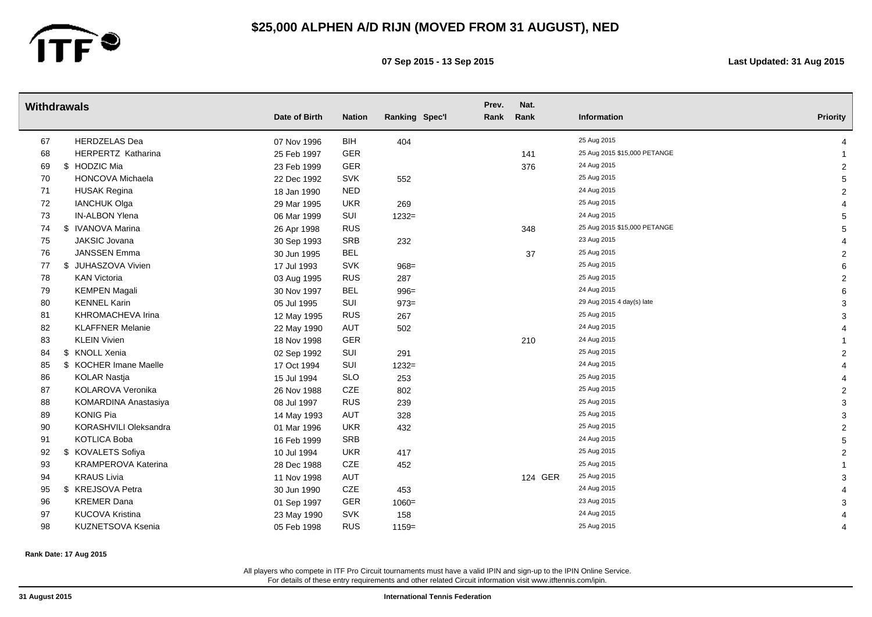

**07 Sep 2015 - 13 Sep 2015 Last Updated: 31 Aug 2015**

|    | <b>Withdrawals</b>         | Date of Birth | <b>Nation</b> | Ranking Spec'l | Prev.<br>Rank | Nat.<br>Rank | Information                  | <b>Priority</b> |
|----|----------------------------|---------------|---------------|----------------|---------------|--------------|------------------------------|-----------------|
|    |                            |               |               |                |               |              |                              |                 |
| 67 | <b>HERDZELAS Dea</b>       | 07 Nov 1996   | <b>BIH</b>    | 404            |               |              | 25 Aug 2015                  | Δ               |
| 68 | HERPERTZ Katharina         | 25 Feb 1997   | <b>GER</b>    |                |               | 141          | 25 Aug 2015 \$15,000 PETANGE |                 |
| 69 | \$ HODZIC Mia              | 23 Feb 1999   | GER           |                |               | 376          | 24 Aug 2015                  | $\overline{c}$  |
| 70 | <b>HONCOVA Michaela</b>    | 22 Dec 1992   | <b>SVK</b>    | 552            |               |              | 25 Aug 2015                  | 5               |
| 71 | <b>HUSAK Regina</b>        | 18 Jan 1990   | <b>NED</b>    |                |               |              | 24 Aug 2015                  | $\overline{c}$  |
| 72 | <b>IANCHUK Olga</b>        | 29 Mar 1995   | <b>UKR</b>    | 269            |               |              | 25 Aug 2015                  |                 |
| 73 | IN-ALBON Ylena             | 06 Mar 1999   | SUI           | $1232=$        |               |              | 24 Aug 2015                  | 5               |
| 74 | \$ IVANOVA Marina          | 26 Apr 1998   | <b>RUS</b>    |                |               | 348          | 25 Aug 2015 \$15,000 PETANGE | 5               |
| 75 | JAKSIC Jovana              | 30 Sep 1993   | <b>SRB</b>    | 232            |               |              | 23 Aug 2015                  |                 |
| 76 | <b>JANSSEN Emma</b>        | 30 Jun 1995   | <b>BEL</b>    |                |               | 37           | 25 Aug 2015                  | $\overline{2}$  |
| 77 | \$ JUHASZOVA Vivien        | 17 Jul 1993   | <b>SVK</b>    | $968 =$        |               |              | 25 Aug 2015                  | 6               |
| 78 | <b>KAN Victoria</b>        | 03 Aug 1995   | <b>RUS</b>    | 287            |               |              | 25 Aug 2015                  | $\overline{2}$  |
| 79 | <b>KEMPEN Magali</b>       | 30 Nov 1997   | <b>BEL</b>    | $996 =$        |               |              | 24 Aug 2015                  | 6               |
| 80 | <b>KENNEL Karin</b>        | 05 Jul 1995   | SUI           | $973=$         |               |              | 29 Aug 2015 4 day(s) late    | 3               |
| 81 | <b>KHROMACHEVA Irina</b>   | 12 May 1995   | <b>RUS</b>    | 267            |               |              | 25 Aug 2015                  | 3               |
| 82 | <b>KLAFFNER Melanie</b>    | 22 May 1990   | AUT           | 502            |               |              | 24 Aug 2015                  |                 |
| 83 | <b>KLEIN Vivien</b>        | 18 Nov 1998   | GER           |                |               | 210          | 24 Aug 2015                  |                 |
| 84 | \$ KNOLL Xenia             | 02 Sep 1992   | SUI           | 291            |               |              | 25 Aug 2015                  | $\overline{2}$  |
| 85 | \$ KOCHER Imane Maelle     | 17 Oct 1994   | SUI           | $1232=$        |               |              | 24 Aug 2015                  |                 |
| 86 | <b>KOLAR Nastja</b>        | 15 Jul 1994   | <b>SLO</b>    | 253            |               |              | 25 Aug 2015                  |                 |
| 87 | KOLAROVA Veronika          | 26 Nov 1988   | CZE           | 802            |               |              | 25 Aug 2015                  | $\overline{2}$  |
| 88 | KOMARDINA Anastasiya       | 08 Jul 1997   | <b>RUS</b>    | 239            |               |              | 25 Aug 2015                  | 3               |
| 89 | <b>KONIG Pia</b>           | 14 May 1993   | AUT           | 328            |               |              | 25 Aug 2015                  | 3               |
| 90 | KORASHVILI Oleksandra      | 01 Mar 1996   | <b>UKR</b>    | 432            |               |              | 25 Aug 2015                  | $\overline{c}$  |
| 91 | <b>KOTLICA Boba</b>        | 16 Feb 1999   | <b>SRB</b>    |                |               |              | 24 Aug 2015                  | 5               |
| 92 | \$ KOVALETS Sofiya         | 10 Jul 1994   | <b>UKR</b>    | 417            |               |              | 25 Aug 2015                  | $\overline{2}$  |
| 93 | <b>KRAMPEROVA Katerina</b> | 28 Dec 1988   | CZE           | 452            |               |              | 25 Aug 2015                  |                 |
| 94 | <b>KRAUS Livia</b>         | 11 Nov 1998   | AUT           |                |               | 124 GER      | 25 Aug 2015                  | 3               |
| 95 | \$ KREJSOVA Petra          | 30 Jun 1990   | CZE           | 453            |               |              | 24 Aug 2015                  |                 |
| 96 | <b>KREMER Dana</b>         | 01 Sep 1997   | <b>GER</b>    | $1060 =$       |               |              | 23 Aug 2015                  | 3               |
| 97 | <b>KUCOVA Kristina</b>     | 23 May 1990   | <b>SVK</b>    | 158            |               |              | 24 Aug 2015                  |                 |
| 98 | KUZNETSOVA Ksenia          | 05 Feb 1998   | <b>RUS</b>    | $1159=$        |               |              | 25 Aug 2015                  | 4               |
|    |                            |               |               |                |               |              |                              |                 |

**Rank Date: 17 Aug 2015**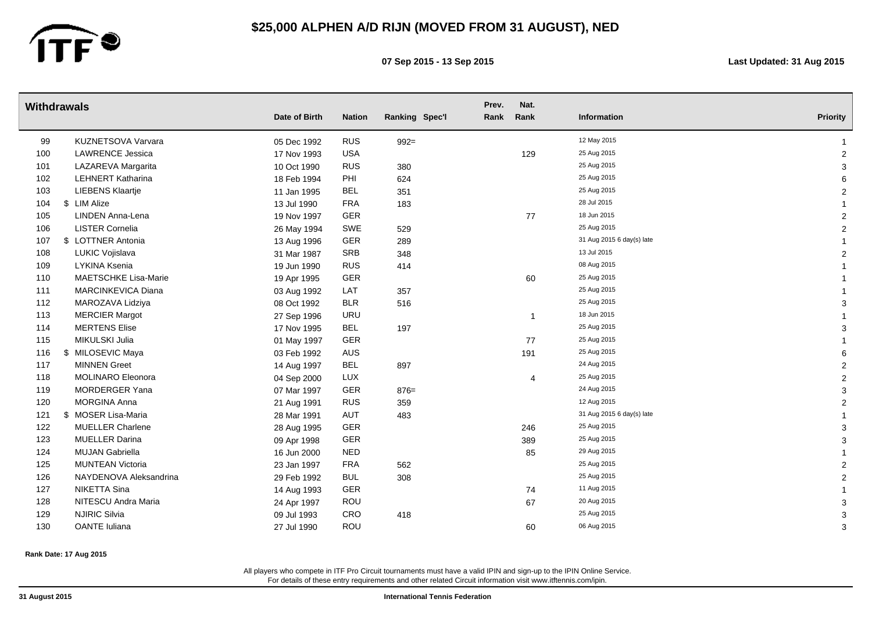

**07 Sep 2015 - 13 Sep 2015 Last Updated: 31 Aug 2015**

|     | <b>Withdrawals</b>          |               |               |                | Prev. | Nat.           |                           |                 |
|-----|-----------------------------|---------------|---------------|----------------|-------|----------------|---------------------------|-----------------|
|     |                             | Date of Birth | <b>Nation</b> | Ranking Spec'l | Rank  | Rank           | Information               | <b>Priority</b> |
| 99  | KUZNETSOVA Varvara          | 05 Dec 1992   | <b>RUS</b>    | $992 =$        |       |                | 12 May 2015               |                 |
| 100 | <b>LAWRENCE Jessica</b>     | 17 Nov 1993   | <b>USA</b>    |                |       | 129            | 25 Aug 2015               | $\overline{2}$  |
| 101 | LAZAREVA Margarita          | 10 Oct 1990   | <b>RUS</b>    | 380            |       |                | 25 Aug 2015               | 3               |
| 102 | <b>LEHNERT Katharina</b>    | 18 Feb 1994   | PHI           | 624            |       |                | 25 Aug 2015               | 6               |
| 103 | <b>LIEBENS Klaartje</b>     | 11 Jan 1995   | <b>BEL</b>    | 351            |       |                | 25 Aug 2015               | $\overline{2}$  |
| 104 | \$ LIM Alize                | 13 Jul 1990   | <b>FRA</b>    | 183            |       |                | 28 Jul 2015               |                 |
| 105 | LINDEN Anna-Lena            | 19 Nov 1997   | GER           |                |       | 77             | 18 Jun 2015               | $\overline{2}$  |
| 106 | <b>LISTER Cornelia</b>      | 26 May 1994   | SWE           | 529            |       |                | 25 Aug 2015               | 2               |
| 107 | \$ LOTTNER Antonia          | 13 Aug 1996   | GER           | 289            |       |                | 31 Aug 2015 6 day(s) late |                 |
| 108 | LUKIC Vojislava             | 31 Mar 1987   | SRB           | 348            |       |                | 13 Jul 2015               | $\overline{2}$  |
| 109 | LYKINA Ksenia               | 19 Jun 1990   | <b>RUS</b>    | 414            |       |                | 08 Aug 2015               |                 |
| 110 | <b>MAETSCHKE Lisa-Marie</b> | 19 Apr 1995   | <b>GER</b>    |                |       | 60             | 25 Aug 2015               |                 |
| 111 | <b>MARCINKEVICA Diana</b>   | 03 Aug 1992   | LAT           | 357            |       |                | 25 Aug 2015               |                 |
| 112 | MAROZAVA Lidziya            | 08 Oct 1992   | <b>BLR</b>    | 516            |       |                | 25 Aug 2015               | 3               |
| 113 | <b>MERCIER Margot</b>       | 27 Sep 1996   | <b>URU</b>    |                |       | $\overline{1}$ | 18 Jun 2015               |                 |
| 114 | <b>MERTENS Elise</b>        | 17 Nov 1995   | <b>BEL</b>    | 197            |       |                | 25 Aug 2015               | 3               |
| 115 | MIKULSKI Julia              | 01 May 1997   | GER           |                |       | 77             | 25 Aug 2015               |                 |
| 116 | \$ MILOSEVIC Maya           | 03 Feb 1992   | AUS           |                |       | 191            | 25 Aug 2015               | 6               |
| 117 | <b>MINNEN Greet</b>         | 14 Aug 1997   | <b>BEL</b>    | 897            |       |                | 24 Aug 2015               | $\overline{2}$  |
| 118 | <b>MOLINARO Eleonora</b>    | 04 Sep 2000   | LUX           |                |       | $\overline{4}$ | 25 Aug 2015               | $\overline{2}$  |
| 119 | MORDERGER Yana              | 07 Mar 1997   | GER           | $876 =$        |       |                | 24 Aug 2015               | 3               |
| 120 | <b>MORGINA Anna</b>         | 21 Aug 1991   | <b>RUS</b>    | 359            |       |                | 12 Aug 2015               | $\overline{c}$  |
| 121 | \$ MOSER Lisa-Maria         | 28 Mar 1991   | AUT           | 483            |       |                | 31 Aug 2015 6 day(s) late |                 |
| 122 | <b>MUELLER Charlene</b>     | 28 Aug 1995   | GER           |                |       | 246            | 25 Aug 2015               | 3               |
| 123 | <b>MUELLER Darina</b>       | 09 Apr 1998   | GER           |                |       | 389            | 25 Aug 2015               | 3               |
| 124 | <b>MUJAN Gabriella</b>      | 16 Jun 2000   | <b>NED</b>    |                |       | 85             | 29 Aug 2015               |                 |
| 125 | <b>MUNTEAN Victoria</b>     | 23 Jan 1997   | <b>FRA</b>    | 562            |       |                | 25 Aug 2015               | $\overline{2}$  |
| 126 | NAYDENOVA Aleksandrina      | 29 Feb 1992   | <b>BUL</b>    | 308            |       |                | 25 Aug 2015               | $\overline{2}$  |
| 127 | NIKETTA Sina                | 14 Aug 1993   | <b>GER</b>    |                |       | 74             | 11 Aug 2015               |                 |
| 128 | NITESCU Andra Maria         | 24 Apr 1997   | ROU           |                |       | 67             | 20 Aug 2015               | 3               |
| 129 | <b>NJIRIC Silvia</b>        | 09 Jul 1993   | <b>CRO</b>    | 418            |       |                | 25 Aug 2015               | 3               |
| 130 | OANTE Iuliana               | 27 Jul 1990   | ROU           |                |       | 60             | 06 Aug 2015               | 3               |

**Rank Date: 17 Aug 2015**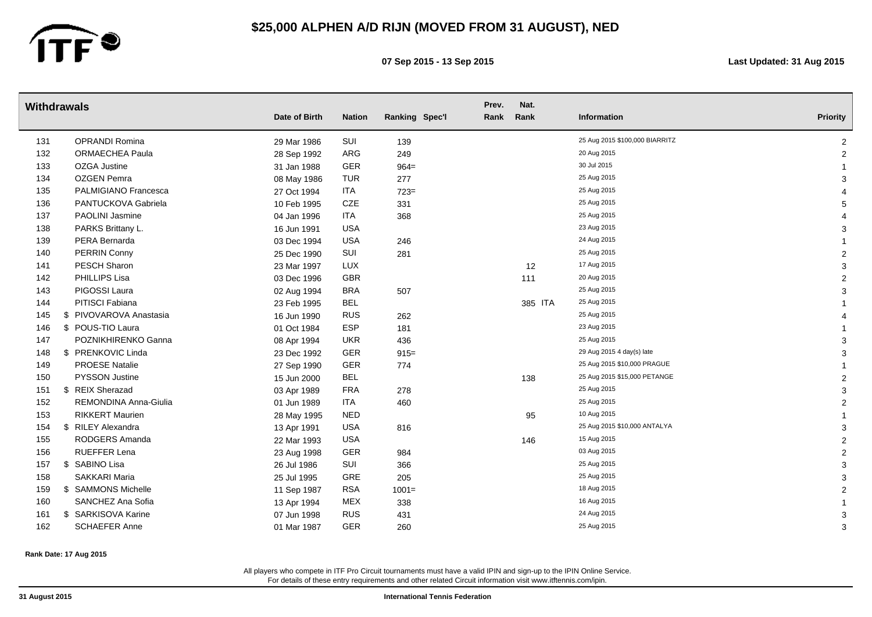

**07 Sep 2015 - 13 Sep 2015 Last Updated: 31 Aug 2015**

|     | <b>Withdrawals</b>           |               |               |                | Prev. | Nat.    |                                |                 |
|-----|------------------------------|---------------|---------------|----------------|-------|---------|--------------------------------|-----------------|
|     |                              | Date of Birth | <b>Nation</b> | Ranking Spec'l | Rank  | Rank    | Information                    | <b>Priority</b> |
| 131 | OPRANDI Romina               | 29 Mar 1986   | SUI           | 139            |       |         | 25 Aug 2015 \$100,000 BIARRITZ | $\overline{2}$  |
| 132 | <b>ORMAECHEA Paula</b>       | 28 Sep 1992   | ARG           | 249            |       |         | 20 Aug 2015                    | $\overline{2}$  |
| 133 | OZGA Justine                 | 31 Jan 1988   | GER           | $964=$         |       |         | 30 Jul 2015                    |                 |
| 134 | <b>OZGEN Pemra</b>           | 08 May 1986   | TUR           | 277            |       |         | 25 Aug 2015                    | 3               |
| 135 | PALMIGIANO Francesca         | 27 Oct 1994   | ITA           | $723=$         |       |         | 25 Aug 2015                    |                 |
| 136 | PANTUCKOVA Gabriela          | 10 Feb 1995   | CZE           | 331            |       |         | 25 Aug 2015                    | 5               |
| 137 | PAOLINI Jasmine              | 04 Jan 1996   | <b>ITA</b>    | 368            |       |         | 25 Aug 2015                    |                 |
| 138 | PARKS Brittany L.            | 16 Jun 1991   | <b>USA</b>    |                |       |         | 23 Aug 2015                    | 3               |
| 139 | PERA Bernarda                | 03 Dec 1994   | <b>USA</b>    | 246            |       |         | 24 Aug 2015                    |                 |
| 140 | PERRIN Conny                 | 25 Dec 1990   | SUI           | 281            |       |         | 25 Aug 2015                    | 2               |
| 141 | PESCH Sharon                 | 23 Mar 1997   | <b>LUX</b>    |                |       | 12      | 17 Aug 2015                    | 3               |
| 142 | PHILLIPS Lisa                | 03 Dec 1996   | GBR           |                |       | 111     | 20 Aug 2015                    | $\overline{2}$  |
| 143 | PIGOSSI Laura                | 02 Aug 1994   | <b>BRA</b>    | 507            |       |         | 25 Aug 2015                    | 3               |
| 144 | PITISCI Fabiana              | 23 Feb 1995   | BEL           |                |       | 385 ITA | 25 Aug 2015                    |                 |
| 145 | PIVOVAROVA Anastasia<br>\$   | 16 Jun 1990   | <b>RUS</b>    | 262            |       |         | 25 Aug 2015                    |                 |
| 146 | \$ POUS-TIO Laura            | 01 Oct 1984   | <b>ESP</b>    | 181            |       |         | 23 Aug 2015                    |                 |
| 147 | POZNIKHIRENKO Ganna          | 08 Apr 1994   | <b>UKR</b>    | 436            |       |         | 25 Aug 2015                    | 3               |
| 148 | \$ PRENKOVIC Linda           | 23 Dec 1992   | GER           | $915 =$        |       |         | 29 Aug 2015 4 day(s) late      | 3               |
| 149 | <b>PROESE Natalie</b>        | 27 Sep 1990   | GER           | 774            |       |         | 25 Aug 2015 \$10,000 PRAGUE    |                 |
| 150 | <b>PYSSON Justine</b>        | 15 Jun 2000   | <b>BEL</b>    |                |       | 138     | 25 Aug 2015 \$15,000 PETANGE   | $\overline{2}$  |
| 151 | <b>REIX Sherazad</b><br>\$   | 03 Apr 1989   | <b>FRA</b>    | 278            |       |         | 25 Aug 2015                    | 3               |
| 152 | <b>REMONDINA Anna-Giulia</b> | 01 Jun 1989   | ITA           | 460            |       |         | 25 Aug 2015                    | 2               |
| 153 | <b>RIKKERT Maurien</b>       | 28 May 1995   | <b>NED</b>    |                |       | 95      | 10 Aug 2015                    |                 |
| 154 | \$ RILEY Alexandra           | 13 Apr 1991   | <b>USA</b>    | 816            |       |         | 25 Aug 2015 \$10,000 ANTALYA   | 3               |
| 155 | RODGERS Amanda               | 22 Mar 1993   | <b>USA</b>    |                |       | 146     | 15 Aug 2015                    | $\overline{2}$  |
| 156 | RUEFFER Lena                 | 23 Aug 1998   | GER           | 984            |       |         | 03 Aug 2015                    | $\overline{2}$  |
| 157 | \$ SABINO Lisa               | 26 Jul 1986   | SUI           | 366            |       |         | 25 Aug 2015                    | 3               |
| 158 | <b>SAKKARI Maria</b>         | 25 Jul 1995   | GRE           | 205            |       |         | 25 Aug 2015                    | 3               |
| 159 | \$ SAMMONS Michelle          | 11 Sep 1987   | <b>RSA</b>    | $1001 =$       |       |         | 18 Aug 2015                    | $\overline{2}$  |
| 160 | SANCHEZ Ana Sofia            | 13 Apr 1994   | <b>MEX</b>    | 338            |       |         | 16 Aug 2015                    |                 |
| 161 | \$ SARKISOVA Karine          | 07 Jun 1998   | <b>RUS</b>    | 431            |       |         | 24 Aug 2015                    | 3               |
| 162 | <b>SCHAEFER Anne</b>         | 01 Mar 1987   | <b>GER</b>    | 260            |       |         | 25 Aug 2015                    | 3               |

**Rank Date: 17 Aug 2015**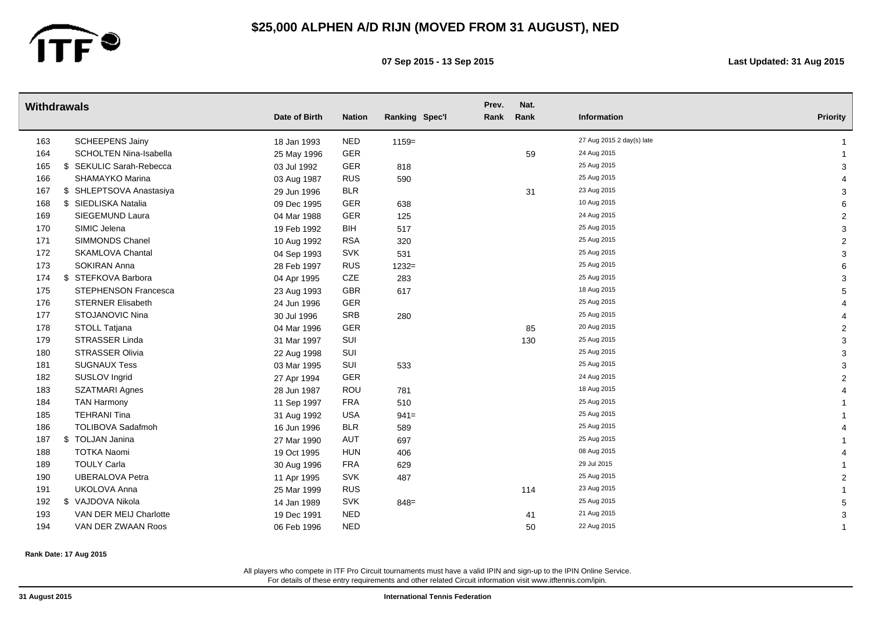

**07 Sep 2015 - 13 Sep 2015 Last Updated: 31 Aug 2015**

| <b>Withdrawals</b> |                          | Date of Birth | <b>Nation</b> | Ranking Spec'l | Prev.<br>Rank | Nat.<br>Rank | Information               | <b>Priority</b> |
|--------------------|--------------------------|---------------|---------------|----------------|---------------|--------------|---------------------------|-----------------|
| 163                | <b>SCHEEPENS Jainy</b>   | 18 Jan 1993   | <b>NED</b>    | $1159=$        |               |              | 27 Aug 2015 2 day(s) late |                 |
| 164                | SCHOLTEN Nina-Isabella   | 25 May 1996   | GER           |                |               | 59           | 24 Aug 2015               |                 |
| 165                | \$ SEKULIC Sarah-Rebecca | 03 Jul 1992   | <b>GER</b>    | 818            |               |              | 25 Aug 2015               | 3               |
| 166                | <b>SHAMAYKO Marina</b>   | 03 Aug 1987   | <b>RUS</b>    | 590            |               |              | 25 Aug 2015               |                 |
| 167                | \$ SHLEPTSOVA Anastasiya | 29 Jun 1996   | <b>BLR</b>    |                |               | 31           | 23 Aug 2015               | 3               |
| 168                | \$ SIEDLISKA Natalia     | 09 Dec 1995   | <b>GER</b>    | 638            |               |              | 10 Aug 2015               | 6               |
| 169                | SIEGEMUND Laura          | 04 Mar 1988   | GER           | 125            |               |              | 24 Aug 2015               | $\overline{2}$  |
| 170                | SIMIC Jelena             | 19 Feb 1992   | <b>BIH</b>    | 517            |               |              | 25 Aug 2015               | 3               |
| 171                | <b>SIMMONDS Chanel</b>   | 10 Aug 1992   | <b>RSA</b>    | 320            |               |              | 25 Aug 2015               | $\overline{2}$  |
| 172                | <b>SKAMLOVA Chantal</b>  | 04 Sep 1993   | <b>SVK</b>    | 531            |               |              | 25 Aug 2015               | 3               |
| 173                | <b>SOKIRAN Anna</b>      | 28 Feb 1997   | <b>RUS</b>    | $1232=$        |               |              | 25 Aug 2015               | 6               |
| 174                | \$ STEFKOVA Barbora      | 04 Apr 1995   | <b>CZE</b>    | 283            |               |              | 25 Aug 2015               | 3               |
| 175                | STEPHENSON Francesca     | 23 Aug 1993   | <b>GBR</b>    | 617            |               |              | 18 Aug 2015               | 5               |
| 176                | <b>STERNER Elisabeth</b> | 24 Jun 1996   | GER           |                |               |              | 25 Aug 2015               |                 |
| 177                | STOJANOVIC Nina          | 30 Jul 1996   | <b>SRB</b>    | 280            |               |              | 25 Aug 2015               |                 |
| 178                | STOLL Tatjana            | 04 Mar 1996   | GER           |                |               | 85           | 20 Aug 2015               | $\overline{2}$  |
| 179                | STRASSER Linda           | 31 Mar 1997   | SUI           |                |               | 130          | 25 Aug 2015               | 3               |
| 180                | <b>STRASSER Olivia</b>   | 22 Aug 1998   | SUI           |                |               |              | 25 Aug 2015               | 3               |
| 181                | <b>SUGNAUX Tess</b>      | 03 Mar 1995   | SUI           | 533            |               |              | 25 Aug 2015               | 3               |
| 182                | SUSLOV Ingrid            | 27 Apr 1994   | GER           |                |               |              | 24 Aug 2015               | $\overline{2}$  |
| 183                | <b>SZATMARI Agnes</b>    | 28 Jun 1987   | ROU           | 781            |               |              | 18 Aug 2015               |                 |
| 184                | <b>TAN Harmony</b>       | 11 Sep 1997   | <b>FRA</b>    | 510            |               |              | 25 Aug 2015               |                 |
| 185                | <b>TEHRANI Tina</b>      | 31 Aug 1992   | <b>USA</b>    | $941 =$        |               |              | 25 Aug 2015               |                 |
| 186                | <b>TOLIBOVA Sadafmoh</b> | 16 Jun 1996   | <b>BLR</b>    | 589            |               |              | 25 Aug 2015               |                 |
| 187                | \$ TOLJAN Janina         | 27 Mar 1990   | AUT           | 697            |               |              | 25 Aug 2015               |                 |
| 188                | <b>TOTKA Naomi</b>       | 19 Oct 1995   | <b>HUN</b>    | 406            |               |              | 08 Aug 2015               |                 |
| 189                | <b>TOULY Carla</b>       | 30 Aug 1996   | <b>FRA</b>    | 629            |               |              | 29 Jul 2015               |                 |
| 190                | <b>UBERALOVA Petra</b>   | 11 Apr 1995   | <b>SVK</b>    | 487            |               |              | 25 Aug 2015               | $\overline{2}$  |
| 191                | <b>UKOLOVA Anna</b>      | 25 Mar 1999   | <b>RUS</b>    |                |               | 114          | 23 Aug 2015               |                 |
| 192                | \$ VAJDOVA Nikola        | 14 Jan 1989   | <b>SVK</b>    | $848=$         |               |              | 25 Aug 2015               | 5               |
| 193                | VAN DER MEIJ Charlotte   | 19 Dec 1991   | <b>NED</b>    |                |               | 41           | 21 Aug 2015               | 3               |
| 194                | VAN DER ZWAAN Roos       | 06 Feb 1996   | <b>NED</b>    |                |               | 50           | 22 Aug 2015               |                 |

**Rank Date: 17 Aug 2015**